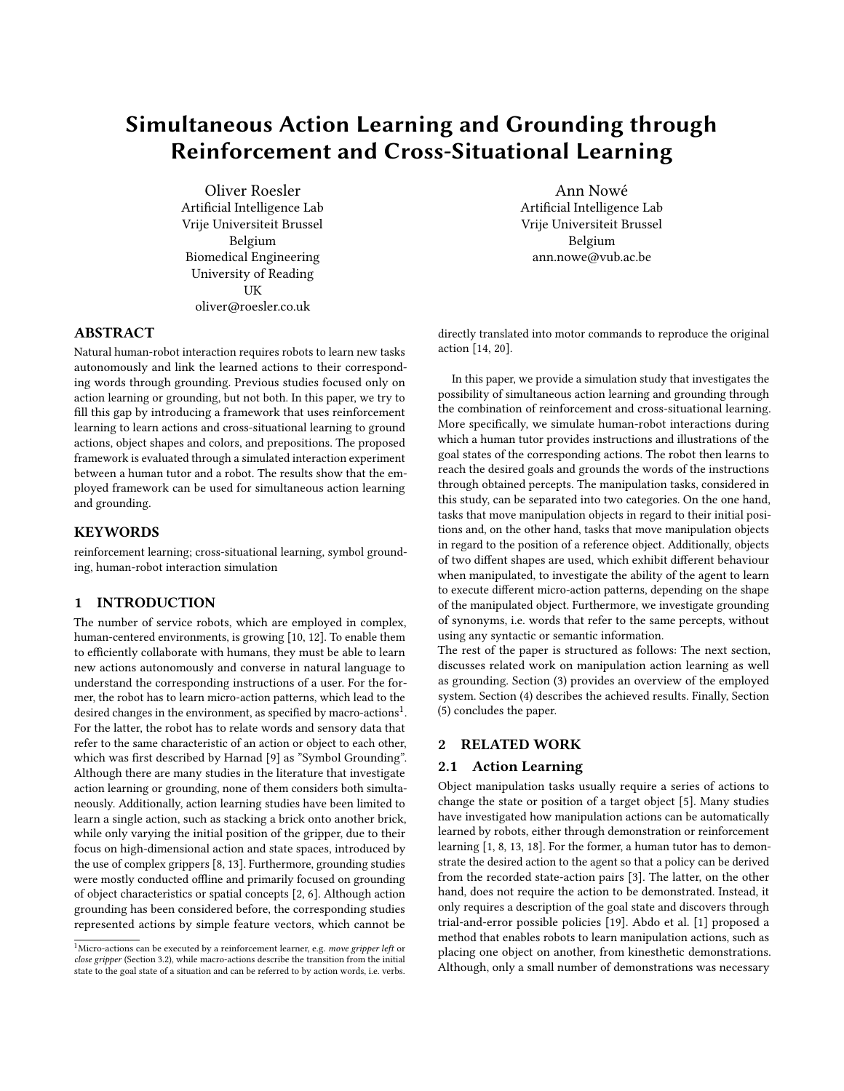# Simultaneous Action Learning and Grounding through Reinforcement and Cross-Situational Learning

Oliver Roesler Artificial Intelligence Lab Vrije Universiteit Brussel Belgium Biomedical Engineering University of Reading **IK** oliver@roesler.co.uk

ABSTRACT

Natural human-robot interaction requires robots to learn new tasks autonomously and link the learned actions to their corresponding words through grounding. Previous studies focused only on action learning or grounding, but not both. In this paper, we try to fill this gap by introducing a framework that uses reinforcement learning to learn actions and cross-situational learning to ground actions, object shapes and colors, and prepositions. The proposed framework is evaluated through a simulated interaction experiment between a human tutor and a robot. The results show that the employed framework can be used for simultaneous action learning and grounding.

# **KEYWORDS**

reinforcement learning; cross-situational learning, symbol grounding, human-robot interaction simulation

## 1 INTRODUCTION

The number of service robots, which are employed in complex, human-centered environments, is growing [\[10,](#page-5-0) [12\]](#page-5-1). To enable them to efficiently collaborate with humans, they must be able to learn new actions autonomously and converse in natural language to understand the corresponding instructions of a user. For the former, the robot has to learn micro-action patterns, which lead to the  $\frac{1}{2}$  $\frac{1}{2}$  $\frac{1}{2}$  desired changes in the environment, as specified by macro-actions<sup>1</sup>. For the latter, the robot has to relate words and sensory data that refer to the same characteristic of an action or object to each other, which was first described by Harnad [\[9\]](#page-5-2) as "Symbol Grounding". Although there are many studies in the literature that investigate action learning or grounding, none of them considers both simultaneously. Additionally, action learning studies have been limited to learn a single action, such as stacking a brick onto another brick, while only varying the initial position of the gripper, due to their focus on high-dimensional action and state spaces, introduced by the use of complex grippers [\[8,](#page-5-3) [13\]](#page-5-4). Furthermore, grounding studies were mostly conducted offline and primarily focused on grounding of object characteristics or spatial concepts [\[2,](#page-5-5) [6\]](#page-5-6). Although action grounding has been considered before, the corresponding studies represented actions by simple feature vectors, which cannot be

Ann Nowé Artificial Intelligence Lab Vrije Universiteit Brussel Belgium ann.nowe@vub.ac.be

directly translated into motor commands to reproduce the original action [\[14,](#page-5-7) [20\]](#page-5-8).

In this paper, we provide a simulation study that investigates the possibility of simultaneous action learning and grounding through the combination of reinforcement and cross-situational learning. More specifically, we simulate human-robot interactions during which a human tutor provides instructions and illustrations of the goal states of the corresponding actions. The robot then learns to reach the desired goals and grounds the words of the instructions through obtained percepts. The manipulation tasks, considered in this study, can be separated into two categories. On the one hand, tasks that move manipulation objects in regard to their initial positions and, on the other hand, tasks that move manipulation objects in regard to the position of a reference object. Additionally, objects of two diffent shapes are used, which exhibit different behaviour when manipulated, to investigate the ability of the agent to learn to execute different micro-action patterns, depending on the shape of the manipulated object. Furthermore, we investigate grounding of synonyms, i.e. words that refer to the same percepts, without using any syntactic or semantic information.

The rest of the paper is structured as follows: The next section, discusses related work on manipulation action learning as well as grounding. Section [\(3\)](#page-1-0) provides an overview of the employed system. Section [\(4\)](#page-4-0) describes the achieved results. Finally, Section [\(5\)](#page-5-9) concludes the paper.

## 2 RELATED WORK

#### 2.1 Action Learning

Object manipulation tasks usually require a series of actions to change the state or position of a target object [\[5\]](#page-5-10). Many studies have investigated how manipulation actions can be automatically learned by robots, either through demonstration or reinforcement learning [\[1,](#page-5-11) [8,](#page-5-3) [13,](#page-5-4) [18\]](#page-5-12). For the former, a human tutor has to demonstrate the desired action to the agent so that a policy can be derived from the recorded state-action pairs [\[3\]](#page-5-13). The latter, on the other hand, does not require the action to be demonstrated. Instead, it only requires a description of the goal state and discovers through trial-and-error possible policies [\[19\]](#page-5-14). Abdo et al. [\[1\]](#page-5-11) proposed a method that enables robots to learn manipulation actions, such as placing one object on another, from kinesthetic demonstrations. Although, only a small number of demonstrations was necessary

<span id="page-0-0"></span><sup>&</sup>lt;sup>1</sup>Micro-actions can be executed by a reinforcement learner, e.g. move gripper left or close gripper (Section [3.2\)](#page-2-0), while macro-actions describe the transition from the initial state to the goal state of a situation and can be referred to by action words, i.e. verbs.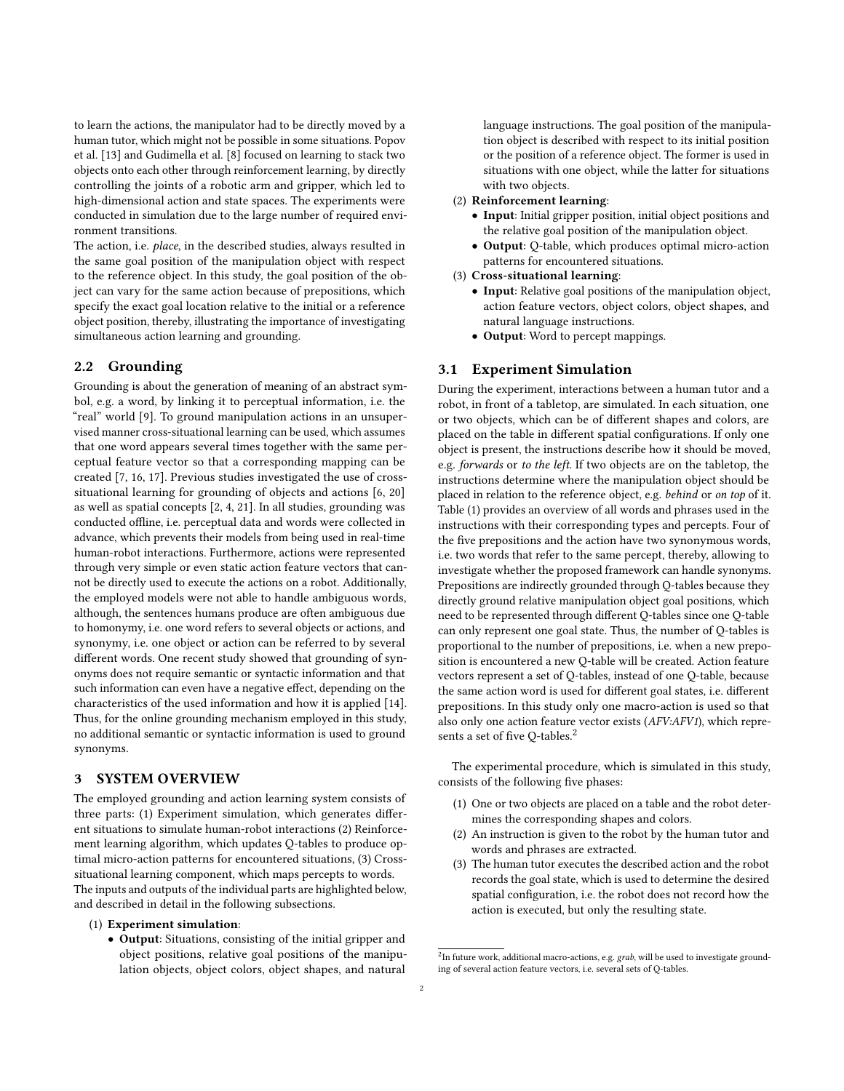to learn the actions, the manipulator had to be directly moved by a human tutor, which might not be possible in some situations. Popov et al. [\[13\]](#page-5-4) and Gudimella et al. [\[8\]](#page-5-3) focused on learning to stack two objects onto each other through reinforcement learning, by directly controlling the joints of a robotic arm and gripper, which led to high-dimensional action and state spaces. The experiments were conducted in simulation due to the large number of required environment transitions.

The action, i.e. place, in the described studies, always resulted in the same goal position of the manipulation object with respect to the reference object. In this study, the goal position of the object can vary for the same action because of prepositions, which specify the exact goal location relative to the initial or a reference object position, thereby, illustrating the importance of investigating simultaneous action learning and grounding.

# 2.2 Grounding

Grounding is about the generation of meaning of an abstract symbol, e.g. a word, by linking it to perceptual information, i.e. the "real" world [\[9\]](#page-5-2). To ground manipulation actions in an unsupervised manner cross-situational learning can be used, which assumes that one word appears several times together with the same perceptual feature vector so that a corresponding mapping can be created [\[7,](#page-5-15) [16,](#page-5-16) [17\]](#page-5-17). Previous studies investigated the use of crosssituational learning for grounding of objects and actions [\[6,](#page-5-6) [20\]](#page-5-8) as well as spatial concepts [\[2,](#page-5-5) [4,](#page-5-18) [21\]](#page-5-19). In all studies, grounding was conducted offline, i.e. perceptual data and words were collected in advance, which prevents their models from being used in real-time human-robot interactions. Furthermore, actions were represented through very simple or even static action feature vectors that cannot be directly used to execute the actions on a robot. Additionally, the employed models were not able to handle ambiguous words, although, the sentences humans produce are often ambiguous due to homonymy, i.e. one word refers to several objects or actions, and synonymy, i.e. one object or action can be referred to by several different words. One recent study showed that grounding of synonyms does not require semantic or syntactic information and that such information can even have a negative effect, depending on the characteristics of the used information and how it is applied [\[14\]](#page-5-7). Thus, for the online grounding mechanism employed in this study, no additional semantic or syntactic information is used to ground synonyms.

# <span id="page-1-0"></span>3 SYSTEM OVERVIEW

The employed grounding and action learning system consists of three parts: (1) Experiment simulation, which generates different situations to simulate human-robot interactions (2) Reinforcement learning algorithm, which updates Q-tables to produce optimal micro-action patterns for encountered situations, (3) Crosssituational learning component, which maps percepts to words. The inputs and outputs of the individual parts are highlighted below, and described in detail in the following subsections.

- (1) Experiment simulation:
	- Output: Situations, consisting of the initial gripper and object positions, relative goal positions of the manipulation objects, object colors, object shapes, and natural

language instructions. The goal position of the manipulation object is described with respect to its initial position or the position of a reference object. The former is used in situations with one object, while the latter for situations with two objects.

#### (2) Reinforcement learning:

- Input: Initial gripper position, initial object positions and the relative goal position of the manipulation object.
- Output: Q-table, which produces optimal micro-action patterns for encountered situations.

#### (3) Cross-situational learning:

- Input: Relative goal positions of the manipulation object, action feature vectors, object colors, object shapes, and natural language instructions.
- Output: Word to percept mappings.

## <span id="page-1-2"></span>3.1 Experiment Simulation

During the experiment, interactions between a human tutor and a robot, in front of a tabletop, are simulated. In each situation, one or two objects, which can be of different shapes and colors, are placed on the table in different spatial configurations. If only one object is present, the instructions describe how it should be moved, e.g. forwards or to the left. If two objects are on the tabletop, the instructions determine where the manipulation object should be placed in relation to the reference object, e.g. behind or on top of it. Table [\(1\)](#page-2-1) provides an overview of all words and phrases used in the instructions with their corresponding types and percepts. Four of the five prepositions and the action have two synonymous words, i.e. two words that refer to the same percept, thereby, allowing to investigate whether the proposed framework can handle synonyms. Prepositions are indirectly grounded through Q-tables because they directly ground relative manipulation object goal positions, which need to be represented through different Q-tables since one Q-table can only represent one goal state. Thus, the number of Q-tables is proportional to the number of prepositions, i.e. when a new preposition is encountered a new Q-table will be created. Action feature vectors represent a set of Q-tables, instead of one Q-table, because the same action word is used for different goal states, i.e. different prepositions. In this study only one macro-action is used so that also only one action feature vector exists (AFV:AFV1), which repre-sents a set of five Q-tables.<sup>[2](#page-1-1)</sup>

The experimental procedure, which is simulated in this study, consists of the following five phases:

- (1) One or two objects are placed on a table and the robot determines the corresponding shapes and colors.
- (2) An instruction is given to the robot by the human tutor and words and phrases are extracted.
- (3) The human tutor executes the described action and the robot records the goal state, which is used to determine the desired spatial configuration, i.e. the robot does not record how the action is executed, but only the resulting state.

<span id="page-1-1"></span> $^{2}$ In future work, additional macro-actions, e.g.  $\emph{grad}$ , will be used to investigate grounding of several action feature vectors, i.e. several sets of Q-tables.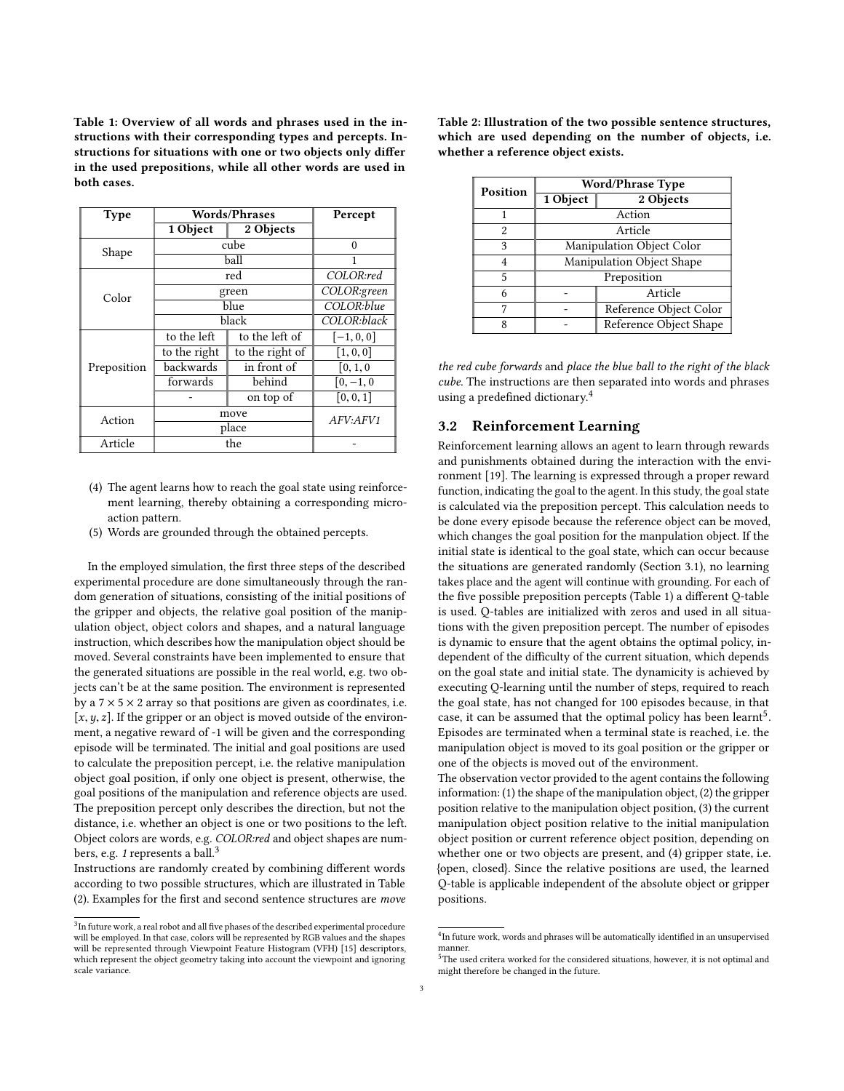<span id="page-2-1"></span>Table 1: Overview of all words and phrases used in the instructions with their corresponding types and percepts. Instructions for situations with one or two objects only differ in the used prepositions, while all other words are used in both cases.

| <b>Type</b> | <b>Words/Phrases</b> |                 | Percept      |
|-------------|----------------------|-----------------|--------------|
|             | 1 Object             | 2 Objects       |              |
| Shape       | cube                 |                 | $\Omega$     |
|             | ball                 |                 |              |
| Color       | red                  |                 | COLOR:red    |
|             | green                |                 | COLOR:green  |
|             | blue                 |                 | COLOR: blue  |
|             | black                |                 | COLOR:black  |
| Preposition | to the left          | to the left of  | $[-1, 0, 0]$ |
|             | to the right         | to the right of | [1, 0, 0]    |
|             | backwards            | in front of     | [0, 1, 0]    |
|             | forwards             | behind          | $[0, -1, 0]$ |
|             |                      | on top of       | [0, 0, 1]    |
| Action      | move                 |                 | AFV:AFV1     |
|             | place                |                 |              |
| Article     | the                  |                 |              |

- (4) The agent learns how to reach the goal state using reinforcement learning, thereby obtaining a corresponding microaction pattern.
- (5) Words are grounded through the obtained percepts.

In the employed simulation, the first three steps of the described experimental procedure are done simultaneously through the random generation of situations, consisting of the initial positions of the gripper and objects, the relative goal position of the manipulation object, object colors and shapes, and a natural language instruction, which describes how the manipulation object should be moved. Several constraints have been implemented to ensure that the generated situations are possible in the real world, e.g. two objects can't be at the same position. The environment is represented by a  $7 \times 5 \times 2$  array so that positions are given as coordinates, i.e. [ $x, y, z$ ]. If the gripper or an object is moved outside of the environment, a negative reward of -1 will be given and the corresponding episode will be terminated. The initial and goal positions are used to calculate the preposition percept, i.e. the relative manipulation object goal position, if only one object is present, otherwise, the goal positions of the manipulation and reference objects are used. The preposition percept only describes the direction, but not the distance, i.e. whether an object is one or two positions to the left. Object colors are words, e.g. COLOR:red and object shapes are num-bers, e.g. 1 represents a ball.<sup>[3](#page-2-2)</sup>

Instructions are randomly created by combining different words according to two possible structures, which are illustrated in Table [\(2\)](#page-2-3). Examples for the first and second sentence structures are move <span id="page-2-3"></span>Table 2: Illustration of the two possible sentence structures, which are used depending on the number of objects, i.e. whether a reference object exists.

| <b>Position</b> | <b>Word/Phrase Type</b>   |                        |  |
|-----------------|---------------------------|------------------------|--|
|                 | 1 Object                  | 2 Objects              |  |
|                 | Action                    |                        |  |
| 2               | Article                   |                        |  |
| 3               | Manipulation Object Color |                        |  |
| 4               | Manipulation Object Shape |                        |  |
| 5               | Preposition               |                        |  |
| 6               |                           | Article                |  |
| 7               |                           | Reference Object Color |  |
| 8               |                           | Reference Object Shape |  |

the red cube forwards and place the blue ball to the right of the black cube. The instructions are then separated into words and phrases using a predefined dictionary.[4](#page-2-4)

# <span id="page-2-0"></span>3.2 Reinforcement Learning

Reinforcement learning allows an agent to learn through rewards and punishments obtained during the interaction with the environment [\[19\]](#page-5-14). The learning is expressed through a proper reward function, indicating the goal to the agent. In this study, the goal state is calculated via the preposition percept. This calculation needs to be done every episode because the reference object can be moved, which changes the goal position for the manpulation object. If the initial state is identical to the goal state, which can occur because the situations are generated randomly (Section [3.1\)](#page-1-2), no learning takes place and the agent will continue with grounding. For each of the five possible preposition percepts (Table [1\)](#page-2-1) a different Q-table is used. Q-tables are initialized with zeros and used in all situations with the given preposition percept. The number of episodes is dynamic to ensure that the agent obtains the optimal policy, independent of the difficulty of the current situation, which depends on the goal state and initial state. The dynamicity is achieved by executing Q-learning until the number of steps, required to reach the goal state, has not changed for 100 episodes because, in that case, it can be assumed that the optimal policy has been learnt<sup>[5](#page-2-5)</sup>. Episodes are terminated when a terminal state is reached, i.e. the manipulation object is moved to its goal position or the gripper or one of the objects is moved out of the environment.

The observation vector provided to the agent contains the following information: (1) the shape of the manipulation object, (2) the gripper position relative to the manipulation object position, (3) the current manipulation object position relative to the initial manipulation object position or current reference object position, depending on whether one or two objects are present, and (4) gripper state, i.e. {open, closed}. Since the relative positions are used, the learned Q-table is applicable independent of the absolute object or gripper positions.

<span id="page-2-2"></span> $^3$ In future work, a real robot and all five phases of the described experimental procedure will be employed. In that case, colors will be represented by RGB values and the shapes will be represented through Viewpoint Feature Histogram (VFH) [\[15\]](#page-5-20) descriptors, which represent the object geometry taking into account the viewpoint and ignoring scale variance.

<span id="page-2-4"></span> $^{4}$ In future work, words and phrases will be automatically identified in an unsupervised manner.

<span id="page-2-5"></span> $^5$ The used critera worked for the considered situations, however, it is not optimal and might therefore be changed in the future.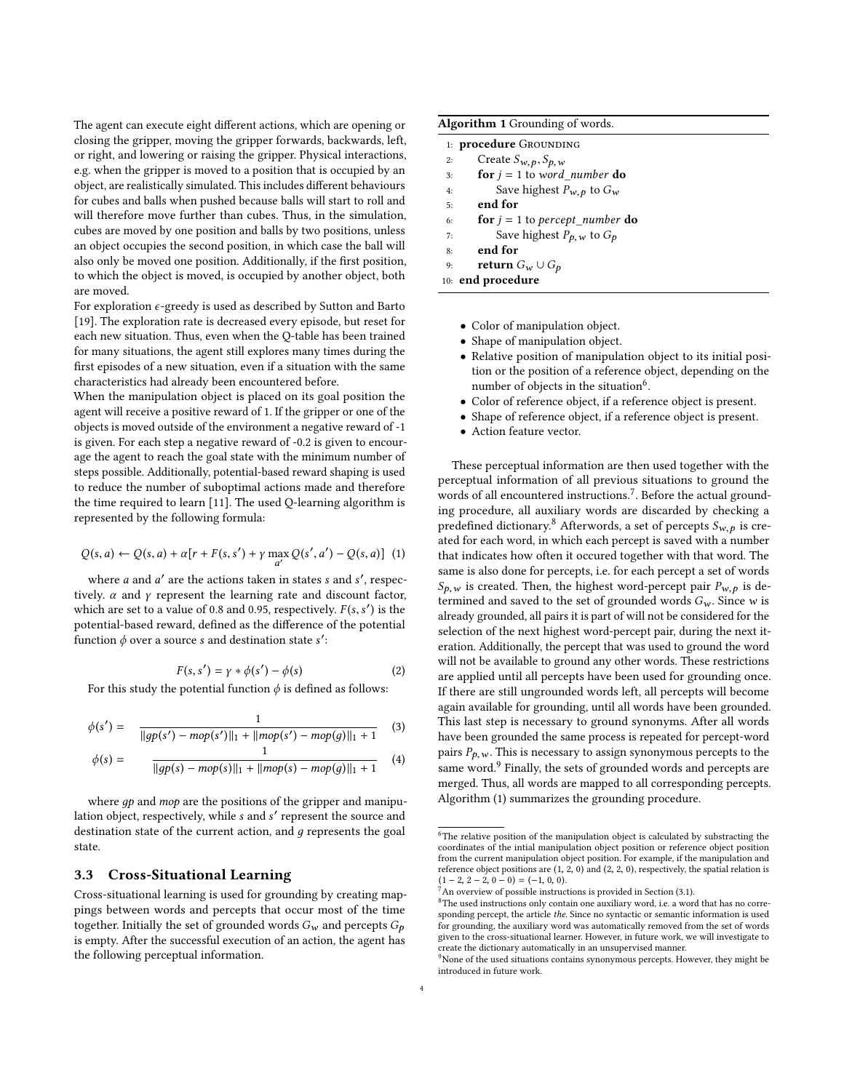The agent can execute eight different actions, which are opening or closing the gripper, moving the gripper forwards, backwards, left, or right, and lowering or raising the gripper. Physical interactions, e.g. when the gripper is moved to a position that is occupied by an object, are realistically simulated. This includes different behaviours for cubes and balls when pushed because balls will start to roll and will therefore move further than cubes. Thus, in the simulation, cubes are moved by one position and balls by two positions, unless an object occupies the second position, in which case the ball will also only be moved one position. Additionally, if the first position, to which the object is moved, is occupied by another object, both are moved.

For exploration  $\epsilon$ -greedy is used as described by Sutton and Barto [\[19\]](#page-5-14). The exploration rate is decreased every episode, but reset for each new situation. Thus, even when the Q-table has been trained for many situations, the agent still explores many times during the first episodes of a new situation, even if a situation with the same characteristics had already been encountered before.

When the manipulation object is placed on its goal position the agent will receive a positive reward of 1. If the gripper or one of the objects is moved outside of the environment a negative reward of -1 is given. For each step a negative reward of -0.2 is given to encourage the agent to reach the goal state with the minimum number of steps possible. Additionally, potential-based reward shaping is used to reduce the number of suboptimal actions made and therefore the time required to learn [\[11\]](#page-5-21). The used Q-learning algorithm is represented by the following formula:

$$
Q(s,a) \leftarrow Q(s,a) + \alpha [r + F(s,s') + \gamma \max_{a'} Q(s',a') - Q(s,a)] \tag{1}
$$

where *a* and *a'* are the actions taken in states *s* and *s'*, respectively  $\alpha$  and  $\gamma$  represent the learning rate and discount factor tively.  $\alpha$  and  $\gamma$  represent the learning rate and discount factor, which are set to a value of 0.8 and 0.95, respectively.  $F(s, s')$  is the notatial-hased reward, defined as the difference of the notatial potential-based reward, defined as the difference of the potential function  $\phi$  over a source s and destination state s':

$$
F(s, s') = \gamma * \phi(s') - \phi(s)
$$
 (2)

For this study the potential function  $\phi$  is defined as follows:

$$
\phi(s') = \frac{1}{\|gp(s') - mop(s')\|_1 + \|mop(s') - mop(g)\|_1 + 1} \tag{3}
$$

$$
\phi(s) = \frac{1}{\|gp(s) - mop(s)\|_1 + \|mop(s) - mop(g)\|_1 + 1} \tag{4}
$$

where  $qp$  and mop are the positions of the gripper and manipulation object, respectively, while s and s' represent the source and<br>destination state of the current action, and a represents the goal destination state of the current action, and  $g$  represents the goal state.

#### 3.3 Cross-Situational Learning

Cross-situational learning is used for grounding by creating mappings between words and percepts that occur most of the time together. Initially the set of grounded words  $G_w$  and percepts  $G_p$ is empty. After the successful execution of an action, the agent has the following perceptual information.

#### <span id="page-3-4"></span>Algorithm 1 Grounding of words.

|    | 1: <b>procedure</b> Grounding    |
|----|----------------------------------|
| 2: | Create $S_{w,p}, S_{p,w}$        |
| 3: | for $j = 1$ to word number do    |
| 4: | Save highest $P_{w,p}$ to $G_w$  |
| 5: | end for                          |
| 6: | for $j = 1$ to percept_number do |
| 7: | Save highest $P_{p,w}$ to $G_p$  |
| 8: | end for                          |
| n. | raturn $C \cup C$ .              |

9: **return**  $G_w \cup G_p$ <br>10: **end procedure** 

- Color of manipulation object.
- Shape of manipulation object.
- Relative position of manipulation object to its initial position or the position of a reference object, depending on the number of objects in the situation<sup>[6](#page-3-0)</sup>.
- Color of reference object, if a reference object is present.
- Shape of reference object, if a reference object is present.
- Action feature vector.

These perceptual information are then used together with the perceptual information of all previous situations to ground the words of all encountered instructions.[7](#page-3-1) . Before the actual grounding procedure, all auxiliary words are discarded by checking a predefined dictionary.<sup>[8](#page-3-2)</sup> Afterwords, a set of percepts  $S_{w, p}$  is created for each word, in which each percept is saved with a number that indicates how often it occured together with that word. The same is also done for percepts, i.e. for each percept a set of words  $S_{p,w}$  is created. Then, the highest word-percept pair  $P_{w,p}$  is determined and saved to the set of grounded words  $G_w$ . Since w is already grounded, all pairs it is part of will not be considered for the selection of the next highest word-percept pair, during the next iteration. Additionally, the percept that was used to ground the word will not be available to ground any other words. These restrictions are applied until all percepts have been used for grounding once. If there are still ungrounded words left, all percepts will become again available for grounding, until all words have been grounded. This last step is necessary to ground synonyms. After all words have been grounded the same process is repeated for percept-word pairs  $P_{p,w}$ . This is necessary to assign synonymous percepts to the same word.<sup>[9](#page-3-3)</sup> Finally, the sets of grounded words and percepts are merged. Thus, all words are mapped to all corresponding percepts. Algorithm [\(1\)](#page-3-4) summarizes the grounding procedure.

<span id="page-3-0"></span> ${}^{6}$  The relative position of the manipulation object is calculated by substracting the coordinates of the intial manipulation object position or reference object position from the current manipulation object position. For example, if the manipulation and reference object positions are  $(1, 2, 0)$  and  $(2, 2, 0)$ , respectively, the spatial relation is  $(1 - 2, 2 - 2, 0 - 0) = (-1, 0, 0)$ 

<span id="page-3-1"></span> $^7$ An overview of possible instructions is provided in Section [\(3.1\)](#page-1-2).

<span id="page-3-2"></span> ${}^{8}{\rm The}$  used instructions only contain one auxiliary word, i.e. a word that has no corresponding percept, the article the. Since no syntactic or semantic information is used for grounding, the auxiliary word was automatically removed from the set of words given to the cross-situational learner. However, in future work, we will investigate to create the dictionary automatically in an unsupervised manner.

<span id="page-3-3"></span> $\beta$ None of the used situations contains synonymous percepts. However, they might be introduced in future work.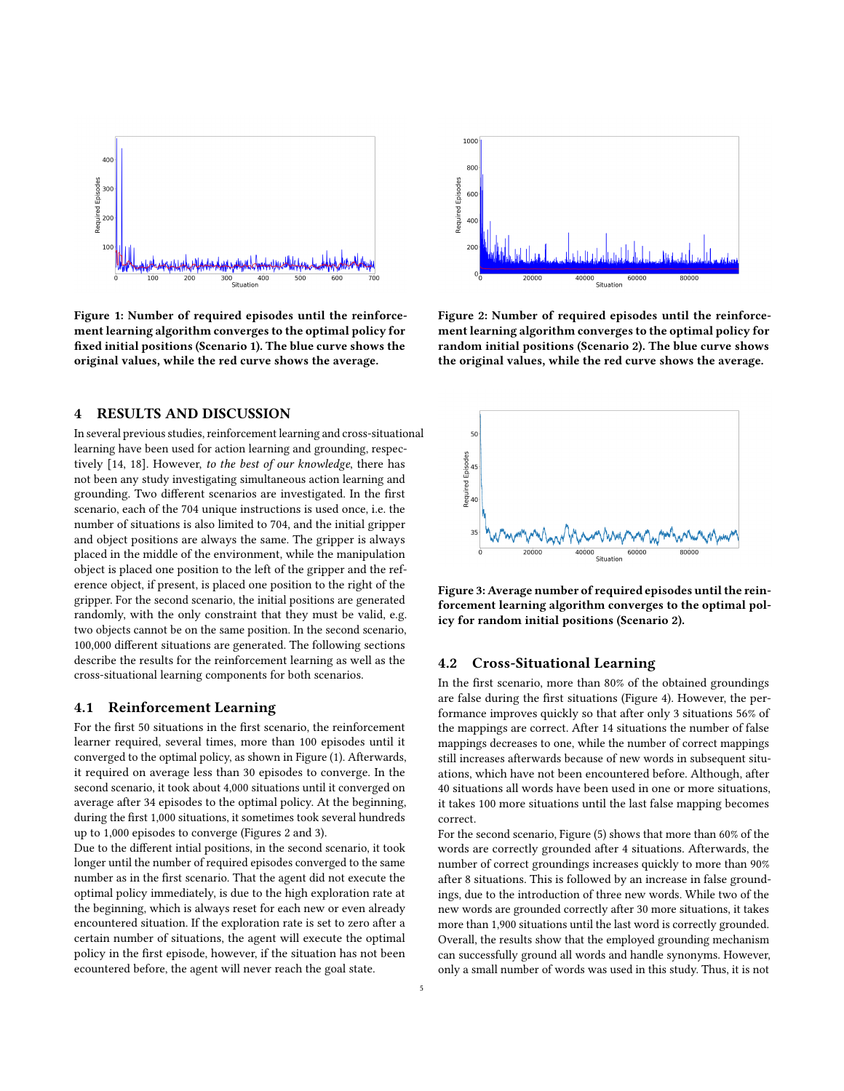<span id="page-4-1"></span>

Figure 1: Number of required episodes until the reinforcement learning algorithm converges to the optimal policy for fixed initial positions (Scenario 1). The blue curve shows the original values, while the red curve shows the average.

## <span id="page-4-0"></span>4 RESULTS AND DISCUSSION

In several previous studies, reinforcement learning and cross-situational learning have been used for action learning and grounding, respectively [\[14,](#page-5-7) [18\]](#page-5-12). However, to the best of our knowledge, there has not been any study investigating simultaneous action learning and grounding. Two different scenarios are investigated. In the first scenario, each of the 704 unique instructions is used once, i.e. the number of situations is also limited to 704, and the initial gripper and object positions are always the same. The gripper is always placed in the middle of the environment, while the manipulation object is placed one position to the left of the gripper and the reference object, if present, is placed one position to the right of the gripper. For the second scenario, the initial positions are generated randomly, with the only constraint that they must be valid, e.g. two objects cannot be on the same position. In the second scenario, 100,000 different situations are generated. The following sections describe the results for the reinforcement learning as well as the cross-situational learning components for both scenarios.

## 4.1 Reinforcement Learning

For the first 50 situations in the first scenario, the reinforcement learner required, several times, more than 100 episodes until it converged to the optimal policy, as shown in Figure [\(1\)](#page-4-1). Afterwards, it required on average less than 30 episodes to converge. In the second scenario, it took about 4,000 situations until it converged on average after 34 episodes to the optimal policy. At the beginning, during the first 1,000 situations, it sometimes took several hundreds up to 1,000 episodes to converge (Figures [2](#page-4-2) and [3\)](#page-4-3).

Due to the different intial positions, in the second scenario, it took longer until the number of required episodes converged to the same number as in the first scenario. That the agent did not execute the optimal policy immediately, is due to the high exploration rate at the beginning, which is always reset for each new or even already encountered situation. If the exploration rate is set to zero after a certain number of situations, the agent will execute the optimal policy in the first episode, however, if the situation has not been ecountered before, the agent will never reach the goal state.

<span id="page-4-2"></span>

Figure 2: Number of required episodes until the reinforcement learning algorithm converges to the optimal policy for random initial positions (Scenario 2). The blue curve shows the original values, while the red curve shows the average.

<span id="page-4-3"></span>

Figure 3: Average number of required episodes until the reinforcement learning algorithm converges to the optimal policy for random initial positions (Scenario 2).

## 4.2 Cross-Situational Learning

In the first scenario, more than 80% of the obtained groundings are false during the first situations (Figure [4\)](#page-5-22). However, the performance improves quickly so that after only 3 situations 56% of the mappings are correct. After 14 situations the number of false mappings decreases to one, while the number of correct mappings still increases afterwards because of new words in subsequent situations, which have not been encountered before. Although, after 40 situations all words have been used in one or more situations, it takes 100 more situations until the last false mapping becomes correct.

For the second scenario, Figure [\(5\)](#page-5-23) shows that more than 60% of the words are correctly grounded after 4 situations. Afterwards, the number of correct groundings increases quickly to more than 90% after 8 situations. This is followed by an increase in false groundings, due to the introduction of three new words. While two of the new words are grounded correctly after 30 more situations, it takes more than 1,900 situations until the last word is correctly grounded. Overall, the results show that the employed grounding mechanism can successfully ground all words and handle synonyms. However, only a small number of words was used in this study. Thus, it is not